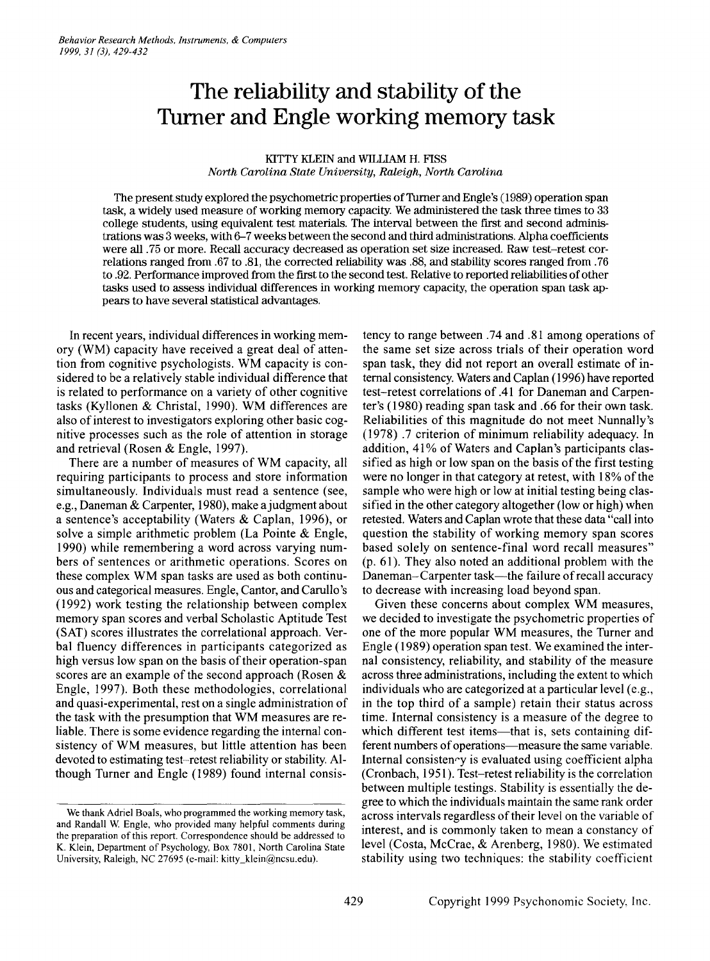# **The reliability and stability of the Turner and** Engle **working memory task**

## KITTY KLEIN and WILLIAM H. F1SS *North Carolina State University, Raleigh, North Carolina*

The present study explored the psychometric properties of Turner and Engle's (1989) operation span task, a widely used measure of working memory capacity. We administered the task three times to 33 college students, using equivalent test materials. The interval between the first and second administrations was 3 weeks, with 6-7 weeks between the second and third administrations. Alpha coefficients were all .75 or more. RecalI accuracy decreased as operation set size increased. Raw test-retest correlations ranged from .67to .81, the corrected reliability was .88, and stability scores ranged from .76 to .92. Performance improved from the first to the second test. Relative to reported reliabilities of other tasks used to assess individual differences in working memory capacity, the operation span task appears to have several statistical advantages.

In recent years, individual differences in working memory (WM) capacity have received a great deal of attention from cognitive psychologists. WM capacity is considered to be a relatively stable individual difference that is related to performance on a variety of other cognitive tasks (Kyllonen & Christal, 1990). WM differences are also of interest to investigators exploring other basic cognitive processes such as the role of attention in storage and retrieval (Rosen & Engle, 1997).

There are a number of measures of WM capacity, all requiring participants to process and store information simultaneously. Individuals must read a sentence (see, e.g., Daneman & Carpenter, 1980), make a judgment about a sentence's acceptability (Waters & Caplan, 1996), or solve a simple arithmetic problem (La Pointe & Engle, 1990) while remembering a word across varying numbers of sentences or arithmetic operations. Scores on these complex WM span tasks are used as both continuous and categorical measures. Engle, Cantor, and Carullo 's (1992) work testing the relationship between complex memory span scores and verbal Scholastic Aptitude Test (SAT) scores illustrates the correlational approach. Verbal fluency differences in participants categorized as high versus low span on the basis of their operation-span scores are an example of the second approach (Rosen & Engle, 1997). Both these methodologies, correlational and quasi-experimental, rest on a single administration of the task with the presumption that WM measures are reliable. There is some evidence regarding the internal consistency of WM measures, but little attention has been devoted to estimating test-retest reliability or stability. AIthough Turner and Engle (1989) found internal consistency to range between .74 and .81 among operations of the same set size across trials of their operation word span task, they did not report an overall estimate of internal consistency. Watersand Caplan (1996) have reported test-retest correlations of.41 for Daneman and Carpenter's (1980) reading span task and .66 for their own task. Reliabilities of this magnitude do not meet Nunnally's (1978) .7 criterion of minimum reliability adequacy. In addition, 41% of Waters and Caplan's participants classified as high or low span on the basis of the first testing were no longer in that category at retest, with 18% of the sampie who were high or low at initial testing being classified in the other category altogether (low or high) when retested. Waters and Caplan wrote that these data "call into question the stability of working memory span scores based solely on sentence-final word recall measures" (p. 61). They also noted an additional problem with the Daneman-Carpenter task—the failure of recall accuracy to decrease with increasing load beyond span.

Given these concerns about complex WM measures, we decided to investigate the psychometrie properties of one of the more popular WM measures, the Turner and Engle (1989) operation span test. We examined the internal consistency, reliability, and stability of the measure across three administrations, including the extent to which individuals who are categorized at a particular level (e.g., in the top third of a sampie) retain their status across time. Internal consistency is a measure of the degree to which different test items-that is, sets containing different numbers of operations—measure the same variable. Internal consisten-y is evaluated using coefficient alpha (Cronbach, 1951). Test-retest reliability is the correlation between multiple testings. Stability is essentially the degree to which the individuals maintain the same rank order across intervals regardless of their level on the variable of interest, and is commonly taken to mean a constancy of level (Costa, McCrae, & Arenberg, 1980). We estimated stability using two techniques: the stability coefficient

We thank Adriel Boals, who programmed the working memory task, and Randall W. Engle, who provided many helpful comments during the preparation of this report. Correspondence should be addressed to K. Klein, Department of Psychology, Box 7801, North Carolina State University, Raleigh, NC 27695 (e-mail: kitty\_klein@ncsu.edu).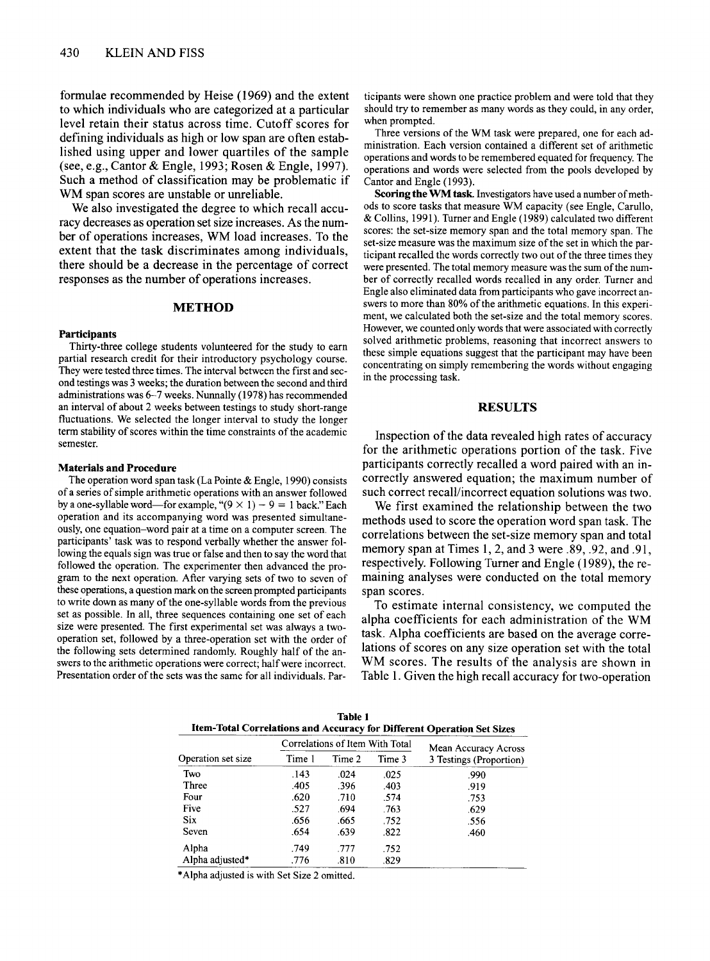formulae recommended by Heise (1969) and the extent to which individuals who are categorized at a particular level retain their status across time. Cutoff scores for defining individuals as high or low span are often established using upper and lower quartiles of the sampie (see, e.g., Cantor & Engle, 1993; Rosen & Engle, 1997). Such a method of classification may be problematic if WM span scores are unstable or unreliable.

We also investigated the degree to which recall accuracy decreases as operation set size increases. As the number of operations increases, WM load increases. To the extent that the task discriminates among individuals, there should be a decrease in the percentage of correct responses as the number of operations increases.

#### **METHOD**

#### **Participants**

Thirty-three college students volunteered for the study to earn partial research credit for their introductory psychology course. They were tested three times. The interval between the first and second testings was 3 weeks; the duration between the second and third administrations was 6-7 weeks. Nunnally (1978) has recommended an interval of about 2 weeks between testings to study short-range fluctuations. We selected the longer interval to study the longer term stability of scores within the time constraints of the academic semester.

#### Materials and Procedure

The operation word span task (La Pointe & Engle, 1990) consists of aseries ofsimple arithmetic operations with an answer followed by a one-syllable word—for example, " $(9 \times 1) - 9 = 1$  back." Each operation and its accompanying word was presented simultaneously, one equation-word pair at a time on a computer screen. The participants' task was to respond verbally whether the answer following the equals sign was true or false and then to say the word that followed the operation. The experimenter then advanced the program to the next operation. After varying sets of two to seven of these operations, a question mark on the screen prompted participants to write down as many of the one-syllable words from the previous set as possible. In all, three sequences containing one set of each size were presented. The first experimental set was always a twooperation set, followed by a three-operation set with the order of the following sets determined randomly. Roughly half of the answers to the arithmetic operations were correct; half were incorrect. Presentation order of the sets was the same for all individuals. Par-

ticipants were shown one practice problem and were told that they should try to remember as many words as they could, in any order, when prompted.

Three versions of the WM task were prepared, one for each administration. Each version contained a different set of arithmetic operations and words to be remembered equated for frequency. The operations and words were selected from the pools developed by Cantor and Engle (1993).

Scoring the WM task. Investigators have used a number of methods to score tasks that measure WM capacity (see Engle, Carullo, & Collins, 1991). Turner and Engle (1989) calculated two different scores: the set-size memory span and the total memory span. The set-size measure was the maximum size of the set in which the participant recalled the words correctly two out of the three times they were presented. The total memory measure was the sum of the number of correctly recalled words recalled in any order. Turner and Engle also eliminated data from participants who gave incorrect answers to more than 80% of the arithmetic equations. In this experiment, we calculated both the set-size and the total memory scores. However, we counted only words that were associated with correctly solved arithmetic problems, reasoning that incorrect answers to these simple equations suggest that the participant may have been concentrating on simply remembering the words without engaging in the processing task.

## RESULTS

Inspection of the data revealed high rates of accuracy for the arithmetic operations portion of the task. Five participants correctly recalled a word paired with an incorrectly answered equation; the maximum number of such correct recall/incorrect equation solutions was two.

We first examined the relationship between the two methods used to score the operation word span task. The correlations between the set-size memory span and total memory span at Times 1,2, and 3 were .89, .92, and .91, respectively. Following Turner and Engle (1989), the remaining analyses were conducted on the total memory span scores.

To estimate internal consistency, we computed the alpha coefficients for each administration of the WM task. Alpha coefficients are based on the average correlations of scores on any size operation set with the total WM scores. The results of the analysis are shown in Table 1. Given the high recall accuracy for two-operation

| Item-Total Correlations and Accuracy for Different Operation Set Sizes |        |                                 |        |                         |  |  |
|------------------------------------------------------------------------|--------|---------------------------------|--------|-------------------------|--|--|
|                                                                        |        | Correlations of Item With Total |        | Mean Accuracy Across    |  |  |
| Operation set size                                                     | Time 1 | Time 2                          | Time 3 | 3 Testings (Proportion) |  |  |
| Two                                                                    | .143   | .024                            | .025   | .990                    |  |  |
| Three                                                                  | .405   | .396                            | .403   | .919                    |  |  |
| Four                                                                   | .620   | .710                            | .574   | .753                    |  |  |
| Five                                                                   | .527   | .694                            | .763   | .629                    |  |  |
| <b>Six</b>                                                             | .656   | .665                            | .752   | .556                    |  |  |
| Seven                                                                  | .654   | .639                            | .822   | .460                    |  |  |
| Alpha                                                                  | .749   | .777                            | .752   |                         |  |  |
| Alpha adjusted*                                                        | .776   | .810                            | .829   |                         |  |  |

Table 1

\*Alpha adjusted is with Set Size 2 omitted.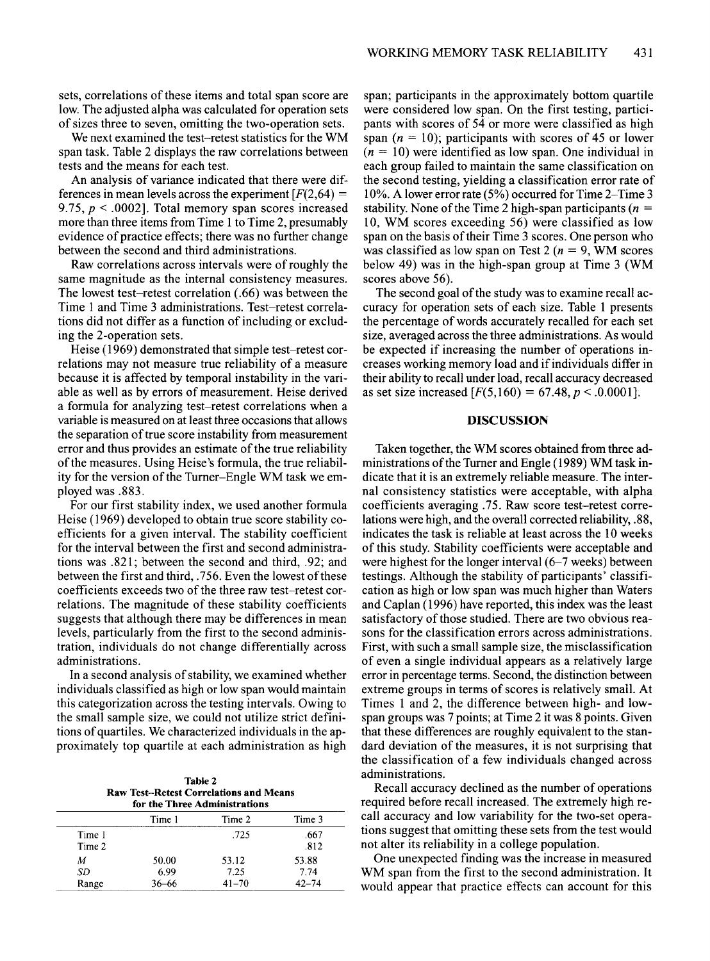sets, correlations of these items and total span score are low. The adjusted alpha was calculated for operation sets of sizes three to seven, omitting the two-operation sets.

Wenext examined the test-retest statistics for the WM span task. Table 2 displays the raw correlations between tests and the means for each test.

An analysis of variance indicated that there were differences in mean levels across the experiment  $F(2,64)$  = 9.75,  $p < .0002$ ]. Total memory span scores increased more than three items from Time 1 to Time 2, presumably evidence of practice effects; there was no further change between the second and third administrations.

Raw correlations across intervals were ofroughly the same magnitude as the internal consistency measures. The lowest test-retest correlation (.66) was between the Time 1 and Time 3 administrations. Test-retest correlations did not differ as a function of including or excluding the 2-operation sets.

Heise (1969) demonstrated that simple test-retest correlations may not measure true reliability of a measure because it is affected by temporal instability in the variable as well as by errors of measurement. Heise derived a formula for analyzing test-retest correlations when a variable is measured on at least three occasions that allows the separation of true score instability from measurement error and thus provides an estimate of the true reliability of the measures. Using Heise's formula, the true reliability for the version of the Turner-Engle WM task we employed was .883.

For our first stability index, we used another formula Heise (1969) developed to obtain true score stability coefficients for a given interval. The stability coefficient for the interval between the first and second administrations was .821; between the second and third, .92; and between the first and third, .756. Even the lowest of these coefficients exceeds two of the three raw test-retest correlations. The magnitude of these stability coefficients suggests that although there may be differences in mean levels, particularly from the first to the second administration, individuals do not change differentially across administrations.

In a second analysis of stability, we examined whether individuals classified as high or low span would maintain this categorization across the testing intervals. Owing to the small sample size, we could not utilize strict definitions of quartiles. We characterized individuals in the approximately top quartile at each administration as high

Table2 Raw Test-Retest Correlations and Means for the Three Administrations

| for the Three Administrations |        |           |              |  |
|-------------------------------|--------|-----------|--------------|--|
|                               | Time 1 | Time 2    | Time 3       |  |
| Time 1<br>Time 2              |        | .725      | .667<br>.812 |  |
| М                             | 50.00  | 53.12     | 53.88        |  |
| SD                            | 6.99   | 7.25      | 7.74         |  |
| Range                         | 36–66  | $41 - 70$ | $42 - 74$    |  |

span; participants in the approximately bottom quartile were considered low span. On the first testing, participants with scores of 54 or more were classified as high span  $(n = 10)$ ; participants with scores of 45 or lower  $(n = 10)$  were identified as low span. One individual in each group failed to maintain the same classification on the second testing, yielding a classification error rate of 10%. A lowererror rate (5%) occurred for Time 2-Time 3 stability. None of the Time 2 high-span participants ( $n =$ 10, WM scores exceeding 56) were classified as low span on the basis of their Time 3 scores. One person who was classified as low span on Test 2 ( $n = 9$ , WM scores below 49) was in the high-span group at Time 3 (WM scores above 56).

The second goal of the study was to examine recall accuracy for operation sets of each size. Table 1 presents the percentage of words accurately recalled for each set size, averaged across the three administrations. As would be expected if increasing the number of operations increases working memory load and if individuals differ in their ability to recall under load, recall accuracy decreased as set size increased  $[F(5,160) = 67.48, p < .0.0001]$ .

### DISCUSSION

Taken together, the WM scores obtained from three administrations of the Turner and Engle (1989) WM task indicate that it is an extremely reliable measure. The internal consistency statistics were acceptable, with alpha coefficients averaging .75. Raw score test-retest correlations were high, and the overall corrected reliability, .88, indicates the task is reliable at least across the 10 weeks of this study. Stability coefficients were acceptable and were highest for the longer interval (6-7 weeks) between testings. Although the stability of participants' classification as high or low span was much higher than Waters and Caplan (1996) have reported, this index was the least satisfactory of those studied. There are two obvious reasons for the classification errors across administrations. First, with such a small sample size, the misclassification of even a single individual appears as a relatively large error in percentage terms. Second, the distinction between extreme groups in terms of scores is relatively small. At Times 1 and 2, the difference between high- and lowspan groups was 7 points; at Time 2 it was 8 points. Given that these differences are roughly equivalent to the standard deviation of the measures, it is not surprising that the classification of a few individuals changed across administrations.

Recall accuracy declined as the number of operations required before recall increased. The extremely high recall accuracy and low variability for the two-set operations suggest that omitting these sets from the test would not alter its reliability in a college population.

One unexpected finding was the increase in measured WM span from the first to the second administration. It would appear that practice effects can account for this